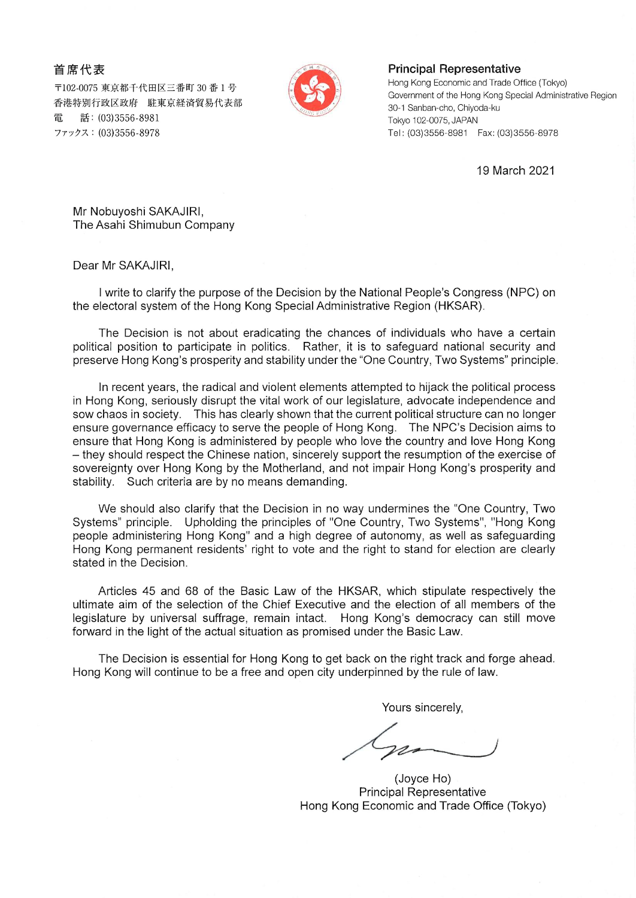首席代表

〒102-0075 東京都千代田区三番町 30 番 1 号 香港特別行政区政府 駐東京経済貿易代表部 話: (03) 3556-8981 雷 ファックス: (03)3556-8978



## **Principal Representative**

Hong Kong Economic and Trade Office (Tokyo) Government of the Hong Kong Special Administrative Region 30-1 Sanban-cho, Chiyoda-ku Tokyo 102-0075, JAPAN Tel: (03)3556-8981 Fax;(03)3556 8978

19 March 202

Mr Nobuyoshi SAKAJIRI, The Asahi Shimubun Company

Dear Mr SAKAJIR1,

I write to clarify the purpose of the Decision by the National People's Congress (NPC) on the electoral system of the Hong Kong Special Administrative Region (HKSAR).

The Decision is not about eradicating the chances of individuals who have a certain political position to participate in politics. Rather, it is to safeguard national security and preserve Hong Kong's prosperity and stability under the "One Country, Two Systems" principle.

In recent years, the radical and violent elements attempted to hijack the political process in Hong Kong, seriously disrupt the vital work of our legislature, advocate independence and sow chaos in society. This has clearly shown that the current political structure can no longer ensure governance efficacy to serve the people of Hong Kong. The NPC's Decision aims to ensure that Hong Kong is administered by people who love the country and love Hong Kong - they should respect the Chinese nation, sincerely support the resumption of the exercise of sovereignty over Hong Kong by the Motherland, and not impair Hong Kong's prosperity and stability. Such criteria are by no means demanding.

We should also clarify that the Decision in no way undermines the "One Country, Two Systems" principle. Upholding the principles of "One Country, Two Systems", "Hong Kong people administering Hong Kong" and a high degree of autonomy, as well as safeguarding Hong Kong permanent residents' right to vote and the right to stand for election are clearly stated in the Decision.

Articles 45 and 68 of the Basic Law of the HKSAR, which stipulate respectively the ultimate aim of the selection of the Chief Executive and the election of all members of the legislature by universal suffrage, remain intact. Hong Kong's democracy can still move forward in the light of the actual situation as promised under the Basic Law.

The Decision is essential for Hong Kong to get back on the right track and forge ahead. Hong Kong will continue to be a free and open city underpinned by the rule of law.

Vours sincerely,

(Joyce Ho) PrincipaI Representative Hong Kong Economic and Trade Office (Tokyo)